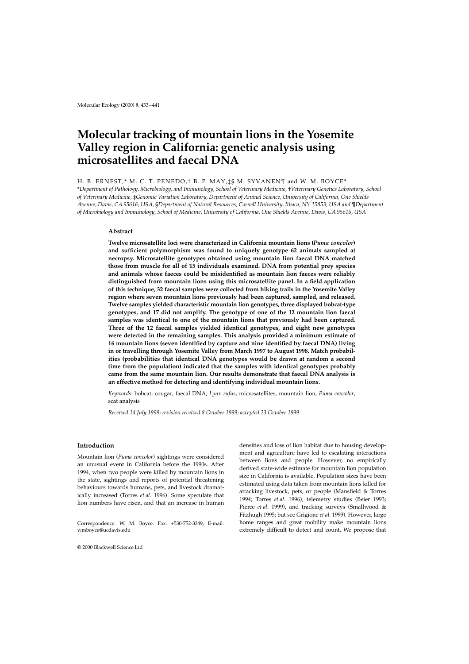# **Molecular tracking of mountain lions in the Yosemite Valley region in California: genetic analysis using microsatellites and faecal DNA**

### H. B. ERNEST,\* M. C. T. PENEDO,† B. P. MAY,‡§ M. SYVANEN¶ and W. M. BOYCE\*

\**Department of Pathology, Microbiology, and Immunology, School of Veterinary Medicine,* †*Veterinary Genetics Laboratory, School of Veterinary Medicine,* ‡*Genomic Variation Laboratory, Department of Animal Science, University of California, One Shields Avenue, Davis, CA 95616, USA,* §*Department of Natural Resources, Cornell University, Ithaca, NY 15853, USA and* ¶*Department of Microbiology and Immunology, School of Medicine, University of California, One Shields Avenue, Davis, CA 95616, USA* 

## **Abstract**

**Twelve microsatellite loci were characterized in California mountain lions (***Puma concolor***) and sufficient polymorphism was found to uniquely genotype 62 animals sampled at necropsy. Microsatellite genotypes obtained using mountain lion faecal DNA matched those from muscle for all of 15 individuals examined. DNA from potential prey species and animals whose faeces could be misidentified as mountain lion faeces were reliably distinguished from mountain lions using this microsatellite panel. In a field application of this technique, 32 faecal samples were collected from hiking trails in the Yosemite Valley region where seven mountain lions previously had been captured, sampled, and released. Twelve samples yielded characteristic mountain lion genotypes, three displayed bobcat-type genotypes, and 17 did not amplify. The genotype of one of the 12 mountain lion faecal samples was identical to one of the mountain lions that previously had been captured. Three of the 12 faecal samples yielded identical genotypes, and eight new genotypes were detected in the remaining samples. This analysis provided a minimum estimate of 16 mountain lions (seven identified by capture and nine identified by faecal DNA) living in or travelling through Yosemite Valley from March 1997 to August 1998. Match probabilities (probabilities that identical DNA genotypes would be drawn at random a second time from the population) indicated that the samples with identical genotypes probably came from the same mountain lion. Our results demonstrate that faecal DNA analysis is an effective method for detecting and identifying individual mountain lions.** 

*Keywords*: bobcat, cougar, faecal DNA, *Lynx rufus*, microsatellites, mountain lion, *Puma concolor*, scat analysis

*Received 14 July 1999; revision received 8 October 1999; accepted 23 October 1999* 

# **Introduction**

Mountain lion (*Puma concolor*) sightings were considered an unusual event in California before the 1990s. After 1994, when two people were killed by mountain lions in the state, sightings and reports of potential threatening behaviours towards humans, pets, and livestock dramatically increased (Torres *et al*. 1996). Some speculate that lion numbers have risen, and that an increase in human

Correspondence: W. M. Boyce. Fax: +530-752-3349; E-mail: [wmboyce@ucdavis.edu](mailto:wmboyce@ucdavis.edu) 

densities and loss of lion habitat due to housing development and agriculture have led to escalating interactions between lions and people. However, no empirically derived state-wide estimate for mountain lion population size in California is available. Population sizes have been estimated using data taken from mountain lions killed for attacking livestock, pets, or people (Mansfield & Torres 1994; Torres *et al*. 1996), telemetry studies (Beier 1993; Pierce *et al*. 1999), and tracking surveys (Smallwood & Fitzhugh 1995; but see Grigione *et al*. 1999). However, large home ranges and great mobility make mountain lions extremely difficult to detect and count. We propose that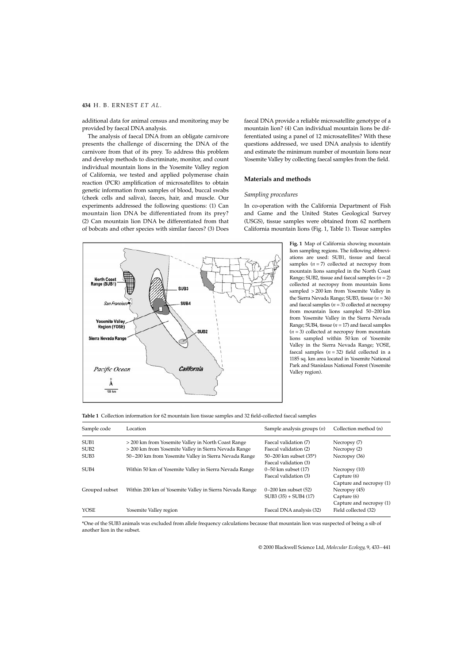additional data for animal census and monitoring may be provided by faecal DNA analysis.

The analysis of faecal DNA from an obligate carnivore presents the challenge of discerning the DNA of the carnivore from that of its prey. To address this problem and develop methods to discriminate, monitor, and count individual mountain lions in the Yosemite Valley region of California, we tested and applied polymerase chain reaction (PCR) amplification of microsatellites to obtain genetic information from samples of blood, buccal swabs (cheek cells and saliva), faeces, hair, and muscle. Our experiments addressed the following questions: (1) Can mountain lion DNA be differentiated from its prey? (2) Can mountain lion DNA be differentiated from that of bobcats and other species with similar faeces? (3) Does



faecal DNA provide a reliable microsatellite genotype of a mountain lion? (4) Can individual mountain lions be differentiated using a panel of 12 microsatellites? With these questions addressed, we used DNA analysis to identify and estimate the minimum number of mountain lions near Yosemite Valley by collecting faecal samples from the field.

# **Materials and methods**

#### *Sampling procedures*

In co-operation with the California Department of Fish and Game and the United States Geological Survey (USGS), tissue samples were obtained from 62 northern California mountain lions (Fig. 1, Table 1). Tissue samples

> **Fig. 1** Map of California showing mountain lion sampling regions. The following abbreviations are used: SUB1, tissue and faecal samples  $(n = 7)$  collected at necropsy from mountain lions sampled in the North Coast Range; SUB2, tissue and faecal samples (*n* = 2) collected at necropsy from mountain lions sampled > 200 km from Yosemite Valley in the Sierra Nevada Range; SUB3, tissue (*n* = 36) and faecal samples (*n* = 3) collected at necropsy from mountain lions sampled 50–200 km from Yosemite Valley in the Sierra Nevada Range; SUB4, tissue (*n* = 17) and faecal samples  $(n = 3)$  collected at necropsy from mountain lions sampled within 50 km of Yosemite Valley in the Sierra Nevada Range; YOSE, faecal samples  $(n = 32)$  field collected in a 1185 sq. km area located in Yosemite National Park and Stanislaus National Forest (Yosemite Valley region).

**Table 1** Collection information for 62 mountain lion tissue samples and 32 field-collected faecal samples

| Sample code      | Location                                                | Sample analysis groups $(n)$                        | Collection method (n)                                    |
|------------------|---------------------------------------------------------|-----------------------------------------------------|----------------------------------------------------------|
| SUB <sub>1</sub> | > 200 km from Yosemite Valley in North Coast Range      | Faecal validation (7)                               | Necropsy (7)                                             |
| SUB <sub>2</sub> | > 200 km from Yosemite Valley in Sierra Nevada Range    | Faecal validation (2)                               | Necropsy $(2)$                                           |
| SUB <sub>3</sub> | 50-200 km from Yosemite Valley in Sierra Nevada Range   | 50-200 km subset (35*)<br>Faecal validation (3)     | Necropsy (36)                                            |
| SUB <sub>4</sub> | Within 50 km of Yosemite Valley in Sierra Nevada Range  | $0 - 50$ km subset $(17)$<br>Faecal validation (3)  | Necropsy (10)<br>Capture (6)<br>Capture and necropsy (1) |
| Grouped subset   | Within 200 km of Yosemite Valley in Sierra Nevada Range | $0 - 200$ km subset $(52)$<br>SUB3 (35) + SUB4 (17) | Necropsy (45)<br>Capture (6)<br>Capture and necropsy (1) |
| YOSE             | Yosemite Valley region                                  | Faecal DNA analysis (32)                            | Field collected (32)                                     |

\*One of the SUB3 animals was excluded from allele frequency calculations because that mountain lion was suspected of being a sib of another lion in the subset.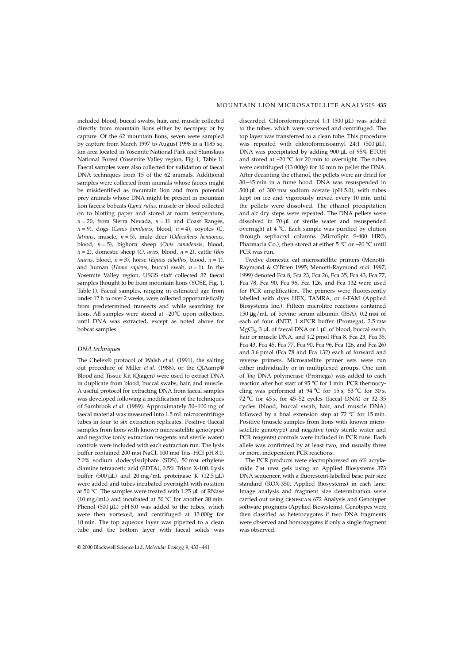included blood, buccal swabs, hair, and muscle collected directly from mountain lions either by necropsy or by capture. Of the 62 mountain lions, seven were sampled by capture from March 1997 to August 1998 in a 1185 sq. km area located in Yosemite National Park and Stanislaus National Forest (Yosemite Valley region, Fig. 1, Table 1). Faecal samples were also collected for validation of faecal DNA techniques from 15 of the 62 animals. Additional samples were collected from animals whose faeces might be misidentified as mountain lion and from potential prey animals whose DNA might be present in mountain lion faeces: bobcats (*Lynx rufus*, muscle or blood collected on to blotting paper and stored at room temperature,  $n = 20$ , from Sierra Nevada,  $n = 11$  and Coast Ranges,  $n = 9$ , dogs (*Canis familiaris*, blood,  $n = 4$ ), coyotes (*C*. *latrans*, muscle, *n* = 5), mule deer (*Odocoileus hemionus*, blood, *n* = 5), bighorn sheep (*Ovis canadensis*, blood, *n* = 2), domestic sheep (*O. aries*, blood, *n* = 2), cattle (*Bos taurus*, blood,  $n = 3$ ), horse (*Equus caballus*, blood,  $n = 1$ ), and human (*Homo sapiens*, buccal swab, *n* = 1). In the Yosemite Valley region, USGS staff collected 32 faecal samples thought to be from mountain lions (YOSE, Fig. 1, Table 1). Faecal samples, ranging in estimated age from under 12 h to over 2 weeks, were collected opportunistically from predetermined transects and while searching for lions. All samples were stored at -20°C upon collection, until DNA was extracted, except as noted above for bobcat samples.

#### *DNA techniques*

The Chelex® protocol of Walsh *et al*. (1991), the salting out procedure of Miller *et al*. (1988), or the QIAamp® Blood and Tissue Kit (Qiagen) were used to extract DNA in duplicate from blood, buccal swabs, hair, and muscle. A useful protocol for extracting DNA from faecal samples was developed following a modification of the techniques of Sambrook *et al*. (1989). Approximately 50–100 mg of faecal material was measured into 1.5 mL microcentrifuge tubes in four to six extraction replicates. Positive (faecal samples from lions with known microsatellite genotypes) and negative (only extraction reagents and sterile water) controls were included with each extraction run. The lysis buffer contained 200 mm NaCl, 100 mm Tris–HCl pH 8.0, 2.0% sodium dodecylsulphate (SDS), 50 mm ethylene diamine tetraacetic acid (EDTA), 0.5% Triton X-100. Lysis buffer (500  $\mu$ L) and 20 mg/mL proteinase K (12.5  $\mu$ L) were added and tubes incubated overnight with rotation at 50 °C. The samples were treated with 1.25  $\mu$ L of RNase (10 mg/mL) and incubated at 50  $\degree$ C for another 30 min. Phenol (500  $\mu$ L) pH 8.0 was added to the tubes, which were then vortexed, and centrifuged at 13 000*g* for 10 min. The top aqueous layer was pipetted to a clean tube and the bottom layer with faecal solids was

discarded. Chloroform:phenol 1:1  $(500 \,\mu L)$  was added to the tubes, which were vortexed and centrifuged. The top layer was transferred to a clean tube. This procedure was repeated with chloroform:isoamyl 24:1 (500 µL). DNA was precipitated by adding  $900 \mu L$  of  $95\%$  ETOH and stored at  $-20$  °C for 20 min to overnight. The tubes were centrifuged (13 000*g*) for 10 min to pellet the DNA. After decanting the ethanol, the pellets were air dried for 30–45 min in a fume hood. DNA was resuspended in  $500 \mu L$  of 300 mm sodium acetate (pH 5.0), with tubes kept on ice and vigorously mixed every 10 min until the pellets were dissolved. The ethanol precipitation and air dry steps were repeated. The DNA pellets were dissolved in  $70 \mu L$  of sterile water and resuspended overnight at  $4^{\circ}$ C. Each sample was purified by elution through sephacryl columns (MicroSpin S-400 HR®, Pharmacia Co.), then stored at either  $5^{\circ}$ C or  $-20^{\circ}$ C until PCR was run.

Twelve domestic cat microsatellite primers (Menotti-Raymond & O'Brien 1995; Menotti-Raymond *et al*. 1997, 1999) denoted Fca 8, Fca 23, Fca 26, Fca 35, Fca 43, Fca 77, Fca 78, Fca 90, Fca 96, Fca 126, and Fca 132 were used for PCR amplification. The primers were fluorescently labelled with dyes HEX, TAMRA, or 6-FAM (Applied Biosystems Inc.). Fifteen microlitre reactions contained  $150 \,\mathrm{\upmu g/mL}$  of bovine serum albumin (BSA), 0.2 mm of each of four dNTP,  $1 \times PCR$  buffer (Promega), 2.5 mm  $MgCl<sub>2</sub>$ , 3 µL of faecal DNA or 1 µL of blood, buccal swab, hair or muscle DNA, and 1.2 pmol (Fca 8, Fca 23, Fca 35, Fca 43, Fca 45, Fca 77, Fca 90, Fca 96, Fca 126, and Fca 26) and 3.6 pmol (Fca 78 and Fca 132) each of forward and reverse primers. Microsatellite primer sets were run either individually or in multiplexed groups. One unit of *Taq* DNA polymerase (Promega) was added to each reaction after hot start of 95  $\degree$ C for 1 min. PCR thermocycling was performed at 94 °C for 15 s, 53 °C for 30 s, 72 °C for 45 s, for 45-52 cycles (faecal DNA) or 32-35 cycles (blood, buccal swab, hair, and muscle DNA) followed by a final extension step at  $72 \degree C$  for 15 min. Positive (muscle samples from lions with known microsatellite genotype) and negative (only sterile water and PCR reagents) controls were included in PCR runs. Each allele was confirmed by at least two, and usually three or more, independent PCR reactions.

The PCR products were electrophoresed on 6% acrylamide 7 m urea gels using an Applied Biosystems 373 DNA sequencer, with a fluorescent-labelled base pair size standard (ROX-350, Applied Biosystems) in each lane. Image analysis and fragment size determination were carried out using genescan 672 Analysis and Genotyper software programs (Applied Biosystems). Genotypes were then classified as heterozygotes if two DNA fragments were observed and homozygotes if only a single fragment was observed.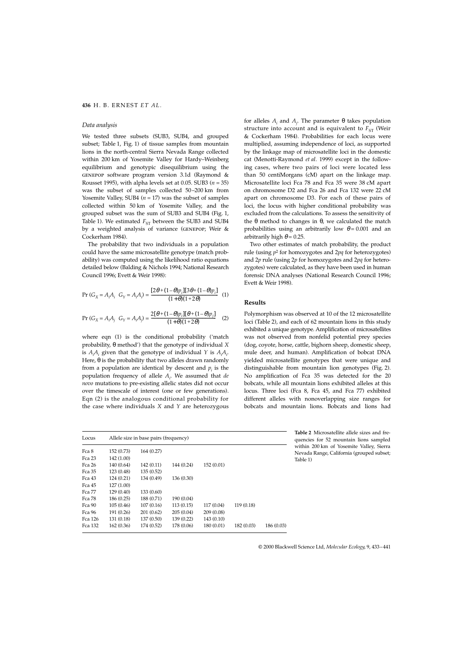#### *Data analysis*

We tested three subsets (SUB3, SUB4, and grouped subset; Table 1, Fig. 1) of tissue samples from mountain lions in the north-central Sierra Nevada Range collected within 200 km of Yosemite Valley for Hardy–Weinberg equilibrium and genotypic disequilibrium using the genepop software program version 3.1d (Raymond & Rousset 1995), with alpha levels set at 0.05. SUB3 (*n* = 35) was the subset of samples collected 50–200 km from Yosemite Valley, SUB4  $(n = 17)$  was the subset of samples collected within 50 km of Yosemite Valley, and the grouped subset was the sum of SUB3 and SUB4 (Fig. 1, Table 1). We estimated  $F_{ST}$  between the SUB3 and SUB4 by a weighted analysis of variance (GENEPOP; Weir & Cockerham 1984).

The probability that two individuals in a population could have the same microsatellite genotype (match probability) was computed using the likelihood ratio equations detailed below (Balding & Nichols 1994; National Research Council 1996; Evett & Weir 1998):

$$
\Pr\left(G_X = A_i A_i \,|\, G_Y = A_i A_i\right) = \frac{[2\theta + (1-\theta)p_i][3\theta + (1-\theta)p_i]}{(1+\theta)(1+2\theta)}\tag{1}
$$

$$
\Pr\left(G_X = A_i A_j \mid G_Y = A_i A_j\right) = \frac{2[\theta + (1 - \theta)p_i][\theta + (1 - \theta)p_j]}{(1 + \theta)(1 + 2\theta)}\tag{2}
$$

where eqn (1) is the conditional probability ('match probability,  $\theta$  method') that the genotype of individual *X* is  $A_iA_i$  given that the genotype of individual *Y* is  $A_iA_i$ . Here,  $\theta$  is the probability that two alleles drawn randomly from a population are identical by descent and  $p_i$  is the population frequency of allele *Ai* . We assumed that *de novo* mutations to pre-existing allelic states did not occur over the timescale of interest (one or few generations). Eqn (2) is the analogous conditional probability for the case where individuals *X* and *Y* are heterozygous

for alleles  $A_i$  and  $A_j$ . The parameter  $\theta$  takes population structure into account and is equivalent to  $F_{ST}$  (Weir & Cockerham 1984). Probabilities for each locus were multiplied, assuming independence of loci, as supported by the linkage map of microsatellite loci in the domestic cat (Menotti-Raymond *et al*. 1999) except in the following cases, where two pairs of loci were located less than 50 centiMorgans (cM) apart on the linkage map. Microsatellite loci Fca 78 and Fca 35 were 38 cM apart on chromosome D2 and Fca 26 and Fca 132 were 22 cM apart on chromosome D3. For each of these pairs of loci, the locus with higher conditional probability was excluded from the calculations. To assess the sensitivity of the  $\theta$  method to changes in  $\theta$ , we calculated the match probabilities using an arbitrarily low  $\theta = 0.001$  and an arbitrarily high  $\theta$  = 0.25.

Two other estimates of match probability, the product rule (using *p*2 for homozygotes and 2*pq* for heterozygotes) and 2*p* rule (using 2*p* for homozygotes and 2*pq* for heterozygotes) were calculated, as they have been used in human forensic DNA analyses (National Research Council 1996; Evett & Weir 1998).

#### **Results**

Polymorphism was observed at 10 of the 12 microsatellite loci (Table 2), and each of 62 mountain lions in this study exhibited a unique genotype. Amplification of microsatellites was not observed from nonfelid potential prey species (dog, coyote, horse, cattle, bighorn sheep, domestic sheep, mule deer, and human). Amplification of bobcat DNA yielded microsatellite genotypes that were unique and distinguishable from mountain lion genotypes (Fig. 2). No amplification of Fca 35 was detected for the 20 bobcats, while all mountain lions exhibited alleles at this locus. Three loci (Fca 8, Fca 45, and Fca 77) exhibited different alleles with nonoverlapping size ranges for bobcats and mountain lions. Bobcats and lions had

| Locus   | Allele size in base pairs (frequency) |            |            |            |            |            | Table 2<br>quencies |
|---------|---------------------------------------|------------|------------|------------|------------|------------|---------------------|
| Fca 8   | 152(0.73)                             | 164 (0.27) |            |            |            |            | within 2<br>Nevada  |
| Fca 23  | 142 (1.00)                            |            |            |            |            |            | Table 1)            |
| Fca 26  | 140 (0.64)                            | 142 (0.11) | 144 (0.24) | 152(0.01)  |            |            |                     |
| Fca 35  | 123(0.48)                             | 135(0.52)  |            |            |            |            |                     |
| Fca 43  | 124(0.21)                             | 134 (0.49) | 136(0.30)  |            |            |            |                     |
| Fca 45  | 127(1.00)                             |            |            |            |            |            |                     |
| Fca 77  | 129(0.40)                             | 133(0.60)  |            |            |            |            |                     |
| Fca 78  | 186(0.25)                             | 188 (0.71) | 190 (0.04) |            |            |            |                     |
| Fca 90  | 105(0.46)                             | 107(0.16)  | 113(0.15)  | 117(0.04)  | 119 (0.18) |            |                     |
| Fca 96  | 191 (0.26)                            | 201(0.62)  | 205(0.04)  | 209 (0.08) |            |            |                     |
| Fca 126 | 131 (0.18)                            | 137 (0.50) | 139 (0.22) | 143 (0.10) |            |            |                     |
| Fca 132 | 162(0.36)                             | 174 (0.52) | 178 (0.06) | 180 (0.01) | 182 (0.03) | 186 (0.03) |                     |

**Table 2** Microsatellite allele sizes and frequencies for 52 mountain lions sampled within 200 km of Yosemite Valley, Sierra Nevada Range, California (grouped subset;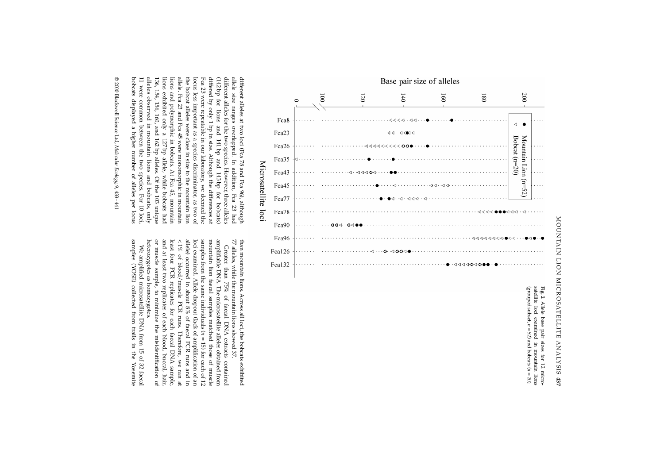bobcats displayed a higher number of alleles per locus 11 were common between the two species. For 10 loci, bobcats displayed a higher number of alleles per locus 11 were common between the two species. For 10 loci alleles observed in mountain lions and bobcats, only 136, 154, 156, 160, and 162 bp alleles. Of the 103 unique lions exhibited only a 127 bp allele, while bobcats had lions and polymorphic in bobcats. At Fca 45, mountain allele. Fca 23 and Fca 45 were monomorphic in mountain the bobcat alleles were close in size to the mountain lion locus less important as a species discriminator, as two of Fca 23 were repeatable in our laboratory, we deemed the differed by only 1 bp in size. Although the differences at (142 bp for lions and 141 bp and 143 bp for bobcats) different alleles for the two species. However, three alleles allele size ranges overlapped. In addition, Fca 23 had different alleles at two loci (Fca 78 and Fca 96), although

154, 156, 160, and 162 bp alleles. Of the 103 unique

127 bp allele, while bobcats had

lions and polymorphic in bobcats. At Fca 45, mountain allele. Fca 23 and Fca 45 were monomorphic in mountain

the bobcat alleles were close in size to the mountain lion locus less important as a species discriminator, as two of

 $<1\%$ 

of blood/muscle PCR runs.

Therefore, we ran at

 $\mathbf{E}$ 

alleles observed in mountain lions and bobcats, only

136, lions

exhibited only a

© 2000 Blackwell Science Ltd,

 $\oslash$  2000 Blackwell Science Ltd, Molecular Ecology, 9, 433-441

*Molecular Ecology*, 9, 433–441

samples (YOSE) collected from trails in the Yosemite samples (YOSE) collected from trails in the Yosemite heterozygotes as homozygotes heterozygotes as homozygotes. We amplified microsatellite DNA from 15 of 32 faecal We amplified microsatellite DNA from 15 of 32 faecal

or muscle sample, to minimize the misidentification of and at least two replicates of each blood, buccal, hair, least four PCR replicates for each faecal DNA sample,  $< 1\%$  of blood/muscle PCR runs. Therefore, we ran at allele) occurred in about 8% of faecal PCR runs and in loci examined. Allele dropout (lack of amplification of an

or muscle sample, to minimize the misidentification of and at least two replicates of each blood, buccal, hair, least four PCR replicates for each faecal DNA sample,

77 alleles, while the mountain lions showed 37. 77 alleles, while the mountain lions showed 37. than mountain lions. Across all loci, the bobcats exhibited than mountain lions. Across all loci, the bobcats exhibited Greater than 75% of faecal DNA extracts contained Greater than 75% of faecal DNA extracts contained

allele size ranges overlapped. In addition, Fca 23 had

different alleles at two loci (Fca 78 and Fca 96), although

different alleles for the two species. However, three alleles

samples from the same individuals (

allele) occurred in about 8% of faecal PCR runs and loci examined. Allele dropout (lack of amplification of an samples from the same individuals ( $n = 15$ ) for each of 12 mountain lion faecal samples matched those of amplifiable DNA. The microsatellite alleles obtained from

Fca 23 were repeatable in our laboratory, we deemed the differed by only 1 bp in size. Although the differences at (142 bp for lions and 141 bp and 143 bp

for bobcats)

 $n = 15$ ) for each of 12

muscle

mountain lion faecal samples matched those of muscle amplifiable DNA. The microsatellite alleles obtained from  $\epsilon$ 

Base pair size of alleles<br>  $F_{\text{ca}}$ <br>  $F_{\text{ca}}$ <br>  $F_{\text{ca}}$ <br>  $F_{\text{ca}}$ <br>  $F_{\text{ca}}$ <br>  $F_{\text{ca}}$ <br>  $F_{\text{ca}}$ <br>  $F_{\text{ca}}$ <br>  $F_{\text{ca}}$ <br>  $F_{\text{ca}}$ <br>  $F_{\text{ca}}$ <br>  $F_{\text{ca}}$ <br>  $F_{\text{ca}}$ <br>  $F_{\text{ca}}$ <br>  $F_{\text{ca}}$ <br>  $F_{\text{ca}}$ <br>  $F_{\text{ca}}$ <br>  $F_{\text{ca$ **Base pair size of alleles**  N 0 0  $\overline{\circ}$  $-20$  $-140$  $09$  $\frac{1}{80}$  $\triangleleft$ • ....................... <1-<1· **·<l<S:1<1· ............................... . x**<br>**Co**<br>**Bobcat (n=20)** ................•...... ·•· ...................................... . Fca43  $\sim$   $\sim$ . . . . . . . . . . . . . . .  $\sim$  *0*  **Fca45** . . . . . . . . . . . . . . . . . . . •· .... ........... <1-<1 · ·<1 <1· ................... .  $=22$ **(P**  \_\_.  $Fea77$  $\lhd \cdot \lhd \cdot \lhd \cdot \lhd \lhd \lhd \cdot$  $Fca78$  $11111$   $0$   $0$   $0$   $1111.1$ Fca90 · · · 00<1· **·O~••** · · · · · · · · · · · · · · · · · · · · · · · · · · · · · · · · · · · · · · · · · · · · · · · · · · · · · · · · · · · · · · · · ..................................................... <1-<1 <1·<1 <1·<1 <1 <1-•<1·<1 ... **e-<1-**•· ·• Fca96 Fcal26 · · · · · · · ·<1 · · · **O· ·<1 OO<l•e** · Fcal32  $\bullet\cdot{\triangleleft}{\triangleleft}{\triangleleft}{\triangleleft}{\triangleleft}{\triangleleft}{\triangleleft}{\triangleright}$ 

MOUNTAIN LION MICROSATELLITE ANALYSIS LION MICROSATELLITE ANALYSIS **437** 

MOUNTAIN

**Fig. 2** Allele base pair sizes for 12 microsatellite loci examined in mountain lions Allele base pair sizes for 12 micro-

satellite loci examined in mountain lions

(grouped subset,

 $n = 52$  and bobcats ( $n = 20$ ).

(grouped subset,  $n = 52$ ) and bobcats ( $n = 20$ ).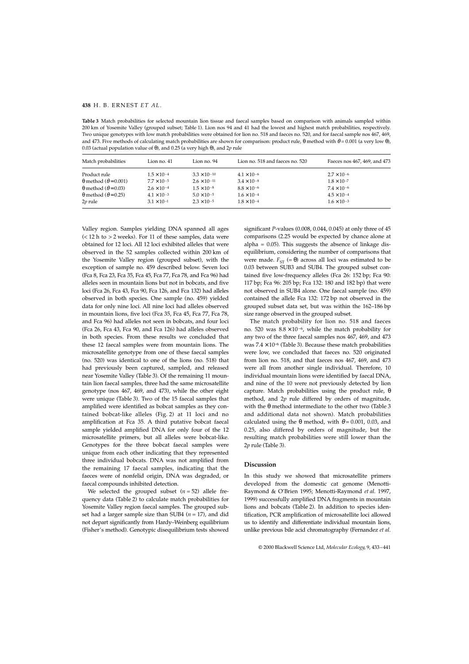**Table 3** Match probabilities for selected mountain lion tissue and faecal samples based on comparison with animals sampled within 200 km of Yosemite Valley (grouped subset; Table 1). Lion nos 94 and 41 had the lowest and highest match probabilities, respectively. Two unique genotypes with low match probabilities were obtained for lion no. 518 and faeces no. 520, and for faecal sample nos 467, 469, and 473. Five methods of calculating match probabilities are shown for comparison: product rule,  $\theta$  method with  $\theta$  = 0.001 (a very low  $\theta$ ), 0.03 (actual population value of  $\theta$ ), and 0.25 (a very high  $\theta$ ), and 2*p* rule

| Match probabilities                 | Lion no. 41          | Lion no. 94           | Lion no. 518 and faeces no. 520 | Faeces nos 467, 469, and 473 |
|-------------------------------------|----------------------|-----------------------|---------------------------------|------------------------------|
| Product rule                        | $1.5 \times 10^{-4}$ | $3.3 \times 10^{-10}$ | $4.1 \times 10^{-6}$            | $2.7 \times 10^{-6}$         |
| $\theta$ method ( $\theta$ = 0.001) | $7.7 \times 10^{-5}$ | $2.6 \times 10^{-11}$ | $3.4 \times 10^{-8}$            | $1.8 \times 10^{-7}$         |
| $\theta$ method ( $\theta$ = 0.03)  | $2.6 \times 10^{-4}$ | $1.5 \times 10^{-8}$  | $8.8 \times 10^{-6}$            | $7.4 \times 10^{-6}$         |
| $\theta$ method ( $\theta$ = 0.25)  | $4.1 \times 10^{-3}$ | $5.0 \times 10^{-5}$  | $1.6 \times 10^{-4}$            | $4.5 \times 10^{-4}$         |
| $2p$ rule                           | $3.1 \times 10^{-1}$ | $2.3 \times 10^{-5}$  | $1.8 \times 10^{-4}$            | $1.6 \times 10^{-3}$         |

Valley region. Samples yielding DNA spanned all ages  $(< 12 h to > 2 weeks$ ). For 11 of these samples, data were obtained for 12 loci. All 12 loci exhibited alleles that were observed in the 52 samples collected within 200 km of the Yosemite Valley region (grouped subset), with the exception of sample no. 459 described below. Seven loci (Fca 8, Fca 23, Fca 35, Fca 45, Fca 77, Fca 78, and Fca 96) had alleles seen in mountain lions but not in bobcats, and five loci (Fca 26, Fca 43, Fca 90, Fca 126, and Fca 132) had alleles observed in both species. One sample (no. 459) yielded data for only nine loci. All nine loci had alleles observed in mountain lions, five loci (Fca 35, Fca 45, Fca 77, Fca 78, and Fca 96) had alleles not seen in bobcats, and four loci (Fca 26, Fca 43, Fca 90, and Fca 126) had alleles observed in both species. From these results we concluded that these 12 faecal samples were from mountain lions. The microsatellite genotype from one of these faecal samples (no. 520) was identical to one of the lions (no. 518) that had previously been captured, sampled, and released near Yosemite Valley (Table 3). Of the remaining 11 mountain lion faecal samples, three had the same microsatellite genotype (nos 467, 469, and 473), while the other eight were unique (Table 3). Two of the 15 faecal samples that amplified were identified as bobcat samples as they contained bobcat-like alleles (Fig. 2) at 11 loci and no amplification at Fca 35. A third putative bobcat faecal sample yielded amplified DNA for only four of the 12 microsatellite primers, but all alleles were bobcat-like. Genotypes for the three bobcat faecal samples were unique from each other indicating that they represented three individual bobcats. DNA was not amplified from the remaining 17 faecal samples, indicating that the faeces were of nonfelid origin, DNA was degraded, or faecal compounds inhibited detection.

We selected the grouped subset  $(n = 52)$  allele frequency data (Table 2) to calculate match probabilities for Yosemite Valley region faecal samples. The grouped subset had a larger sample size than SUB4 (*n* = 17), and did not depart significantly from Hardy–Weinberg equilibrium (Fisher's method). Genotypic disequilibrium tests showed significant *P*-values (0.008, 0.044, 0.045) at only three of 45 comparisons (2.25 would be expected by chance alone at alpha =  $0.05$ ). This suggests the absence of linkage disequilibrium, considering the number of comparisons that were made.  $F_{ST}$  (=  $\theta$ ) across all loci was estimated to be 0.03 between SUB3 and SUB4. The grouped subset contained five low-frequency alleles (Fca 26: 152 bp; Fca 90: 117 bp; Fca 96: 205 bp; Fca 132: 180 and 182 bp) that were not observed in SUB4 alone. One faecal sample (no. 459) contained the allele Fca 132: 172 bp not observed in the grouped subset data set, but was within the 162–186 bp size range observed in the grouped subset.

The match probability for lion no. 518 and faeces no. 520 was  $8.8 \times 10^{-6}$ , while the match probability for any two of the three faecal samples nos 467, 469, and 473 was  $7.4 \times 10^{-6}$  (Table 3). Because these match probabilities were low, we concluded that faeces no. 520 originated from lion no. 518, and that faeces nos 467, 469, and 473 were all from another single individual. Therefore, 10 individual mountain lions were identified by faecal DNA, and nine of the 10 were not previously detected by lion capture. Match probabilities using the product rule,  $\theta$ method, and 2*p* rule differed by orders of magnitude, with the  $\theta$  method intermediate to the other two (Table 3 and additional data not shown). Match probabilities calculated using the  $\theta$  method, with  $\theta = 0.001$ , 0.03, and 0.25, also differed by orders of magnitude, but the resulting match probabilities were still lower than the 2*p* rule (Table 3).

#### **Discussion**

In this study we showed that microsatellite primers developed from the domestic cat genome (Menotti-Raymond & O'Brien 1995; Menotti-Raymond *et al*. 1997, 1999) successfully amplified DNA fragments in mountain lions and bobcats (Table 2). In addition to species identification, PCR amplification of microsatellite loci allowed us to identify and differentiate individual mountain lions, unlike previous bile acid chromatography (Fernandez *et al*.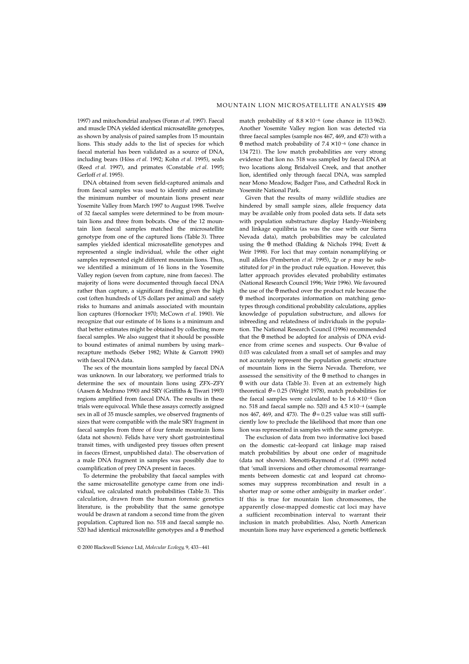1997) and mitochondrial analyses (Foran *et al*. 1997). Faecal and muscle DNA yielded identical microsatellite genotypes, as shown by analysis of paired samples from 15 mountain lions. This study adds to the list of species for which faecal material has been validated as a source of DNA, including bears (Höss *et al*. 1992; Kohn *et al*. 1995), seals (Reed *et al*. 1997), and primates (Constable *et al*. 1995; Gerloff *et al*. 1995).

DNA obtained from seven field-captured animals and from faecal samples was used to identify and estimate the minimum number of mountain lions present near Yosemite Valley from March 1997 to August 1998. Twelve of 32 faecal samples were determined to be from mountain lions and three from bobcats. One of the 12 mountain lion faecal samples matched the microsatellite genotype from one of the captured lions (Table 3). Three samples yielded identical microsatellite genotypes and represented a single individual, while the other eight samples represented eight different mountain lions. Thus, we identified a minimum of 16 lions in the Yosemite Valley region (seven from capture, nine from faeces). The majority of lions were documented through faecal DNA rather than capture, a significant finding given the high cost (often hundreds of US dollars per animal) and safety risks to humans and animals associated with mountain lion captures (Hornocker 1970; McCown *et al*. 1990). We recognize that our estimate of 16 lions is a minimum and that better estimates might be obtained by collecting more faecal samples. We also suggest that it should be possible to bound estimates of animal numbers by using mark– recapture methods (Seber 1982; White & Garrott 1990) with faecal DNA data.

The sex of the mountain lions sampled by faecal DNA was unknown. In our laboratory, we performed trials to determine the sex of mountain lions using ZFX–ZFY (Aasen & Medrano 1990) and SRY (Griffiths & Tiwari 1993) regions amplified from faecal DNA. The results in these trials were equivocal. While these assays correctly assigned sex in all of 35 muscle samples, we observed fragments of sizes that were compatible with the male SRY fragment in faecal samples from three of four female mountain lions (data not shown). Felids have very short gastrointestinal transit times, with undigested prey tissues often present in faeces (Ernest, unpublished data). The observation of a male DNA fragment in samples was possibly due to coamplification of prey DNA present in faeces.

To determine the probability that faecal samples with the same microsatellite genotype came from one individual, we calculated match probabilities (Table 3). This calculation, drawn from the human forensic genetics literature, is the probability that the same genotype would be drawn at random a second time from the given population. Captured lion no. 518 and faecal sample no. 520 had identical microsatellite genotypes and a  $\theta$  method match probability of  $8.8 \times 10^{-6}$  (one chance in 113 962). Another Yosemite Valley region lion was detected via three faecal samples (sample nos 467, 469, and 473) with a  $\theta$  method match probability of  $7.4 \times 10^{-6}$  (one chance in 134 721). The low match probabilities are very strong evidence that lion no. 518 was sampled by faecal DNA at two locations along Bridalveil Creek, and that another lion, identified only through faecal DNA, was sampled near Mono Meadow, Badger Pass, and Cathedral Rock in Yosemite National Park.

Given that the results of many wildlife studies are hindered by small sample sizes, allele frequency data may be available only from pooled data sets. If data sets with population substructure display Hardy–Weinberg and linkage equilibria (as was the case with our Sierra Nevada data), match probabilities may be calculated using the  $\theta$  method (Balding & Nichols 1994; Evett & Weir 1998). For loci that may contain nonamplifying or null alleles (Pemberton *et al*. 1995), 2*p* or *p* may be substituted for  $p^2$  in the product rule equation. However, this latter approach provides elevated probability estimates (National Research Council 1996; Weir 1996). We favoured the use of the  $\theta$  method over the product rule because the  $\theta$  method incorporates information on matching genotypes through conditional probability calculations, applies knowledge of population substructure, and allows for inbreeding and relatedness of individuals in the population. The National Research Council (1996) recommended that the  $\theta$  method be adopted for analysis of DNA evidence from crime scenes and suspects. Our  $\theta$ -value of 0.03 was calculated from a small set of samples and may not accurately represent the population genetic structure of mountain lions in the Sierra Nevada. Therefore, we assessed the sensitivity of the  $\theta$  method to changes in  $\theta$  with our data (Table 3). Even at an extremely high theoretical  $\theta$  = 0.25 (Wright 1978), match probabilities for the faecal samples were calculated to be  $1.6 \times 10^{-4}$  (lion no. 518 and faecal sample no. 520) and  $4.5 \times 10^{-4}$  (sample nos 467, 469, and 473). The  $\theta$  = 0.25 value was still sufficiently low to preclude the likelihood that more than one lion was represented in samples with the same genotype.

The exclusion of data from two informative loci based on the domestic cat–leopard cat linkage map raised match probabilities by about one order of magnitude (data not shown). Menotti-Raymond *et al*. (1999) noted that 'small inversions and other chromosomal rearrangements between domestic cat and leopard cat chromosomes may suppress recombination and result in a shorter map or some other ambiguity in marker order'. If this is true for mountain lion chromosomes, the apparently close-mapped domestic cat loci may have a sufficient recombination interval to warrant their inclusion in match probabilities. Also, North American mountain lions may have experienced a genetic bottleneck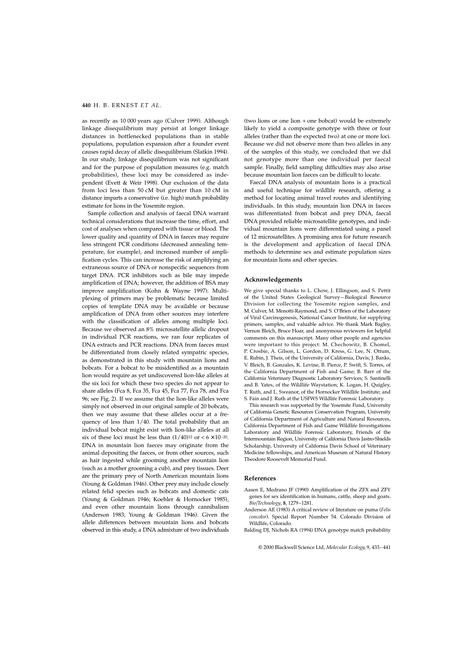as recently as 10 000 years ago (Culver 1999). Although linkage disequilibrium may persist at longer linkage distances in bottlenecked populations than in stable populations, population expansion after a founder event causes rapid decay of allelic disequilibrium (Slatkin 1994). In our study, linkage disequilibrium was not significant and for the purpose of population measures (e.g. match probabilities), these loci may be considered as independent (Evett & Weir 1998). Our exclusion of the data from loci less than 50 cM but greater than 10 cM in distance imparts a conservative (i.e. high) match probability estimate for lions in the Yosemite region.

Sample collection and analysis of faecal DNA warrant technical considerations that increase the time, effort, and cost of analyses when compared with tissue or blood. The lower quality and quantity of DNA in faeces may require less stringent PCR conditions (decreased annealing temperature, for example), and increased number of amplification cycles. This can increase the risk of amplifying an extraneous source of DNA or nonspecific sequences from target DNA. PCR inhibitors such as bile may impede amplification of DNA; however, the addition of BSA may improve amplification (Kohn & Wayne 1997). Multiplexing of primers may be problematic because limited copies of template DNA may be available or because amplification of DNA from other sources may interfere with the classification of alleles among multiple loci. Because we observed an 8% microsatellite allelic dropout in individual PCR reactions, we ran four replicates of DNA extracts and PCR reactions. DNA from faeces must be differentiated from closely related sympatric species, as demonstrated in this study with mountain lions and bobcats. For a bobcat to be misidentified as a mountain lion would require as yet undiscovered lion-like alleles at the six loci for which these two species do not appear to share alleles (Fca 8, Fca 35, Fca 45, Fca 77, Fca 78, and Fca 96; see Fig. 2). If we assume that the lion-like alleles were simply not observed in our original sample of 20 bobcats, then we may assume that these alleles occur at a frequency of less than 1/40. The total probability that an individual bobcat might exist with lion-like alleles at all six of these loci must be less than  $(1/40)^{12}$  or  $< 6 \times 10^{-20}$ . DNA in mountain lion faeces may originate from the animal depositing the faeces, or from other sources, such as hair ingested while grooming another mountain lion (such as a mother grooming a cub), and prey tissues. Deer are the primary prey of North American mountain lions (Young & Goldman 1946). Other prey may include closely related felid species such as bobcats and domestic cats (Young & Goldman 1946; Koehler & Hornocker 1985), and even other mountain lions through cannibalism (Anderson 1983; Young & Goldman 1946). Given the allele differences between mountain lions and bobcats observed in this study, a DNA admixture of two individuals

(two lions or one lion + one bobcat) would be extremely likely to yield a composite genotype with three or four alleles (rather than the expected two) at one or more loci. Because we did not observe more than two alleles in any of the samples of this study, we concluded that we did not genotype more than one individual per faecal sample. Finally, field sampling difficulties may also arise because mountain lion faeces can be difficult to locate.

Faecal DNA analysis of mountain lions is a practical and useful technique for wildlife research, offering a method for locating animal travel routes and identifying individuals. In this study, mountain lion DNA in faeces was differentiated from bobcat and prey DNA, faecal DNA provided reliable microsatellite genotypes, and individual mountain lions were differentiated using a panel of 12 microsatellites. A promising area for future research is the development and application of faecal DNA methods to determine sex and estimate population sizes for mountain lions and other species.

#### **Acknowledgements**

We give special thanks to L. Chow, J. Ellingson, and S. Pettit of the United States Geological Survey—Biological Resource Division for collecting the Yosemite region samples, and M. Culver, M. Menotti-Raymond, and S. O'Brien of the Laboratory of Viral Carcinogenesis, National Cancer Institute, for supplying primers, samples, and valuable advice. We thank Mark Bagley, Vernon Bleich, Bruce Hoar, and anonymous reviewers for helpful comments on this manuscript. Many other people and agencies were important to this project: M. Chechowitz, B. Chomel, P. Crosbie, A. Gilson, L. Gordon, D. Kress, G. Lee, N. Ottum, E. Rubin, J. Theis, of the University of California, Davis; J. Banks, V. Bleich, B. Gonzales, K. Levine, B. Pierce, P. Swift, S. Torres, of the California Department of Fish and Game; B. Barr of the California Veterinary Diagnostic Laboratory Services; S. Santinelli and B. Yates, of the Wildlife Waystation; K. Logan, H. Quigley, T. Ruth, and L. Sweanor, of the Hornocker Wildlife Institute; and S. Fain and J. Ruth at the USFWS Wildlife Forensic Laboratory.

This research was supported by the Yosemite Fund, University of California Genetic Resources Conservation Program, University of California Department of Agriculture and Natural Resources, California Department of Fish and Game Wildlife Investigations Laboratory and Wildlife Forensic Laboratory, Friends of the Intermountain Region, University of California Davis Jastro-Shields Scholarship, University of California Davis School of Veterinary Medicine fellowships, and American Museum of Natural History Theodore Roosevelt Memorial Fund.

#### **References**

- Aasen E, Medrano JF (1990) Amplification of the ZFX and ZFY genes for sex identification in humans, cattle, sheep and goats. *Bio/Technology*, **8**, 1279–1281.
- Anderson AE (1983) A critical review of literature on puma (*Felis concolor*). Special Report Number 54. Colorado Division of Wildlife, Colorado.
- Balding DJ, Nichols RA (1994) DNA genotype match probability